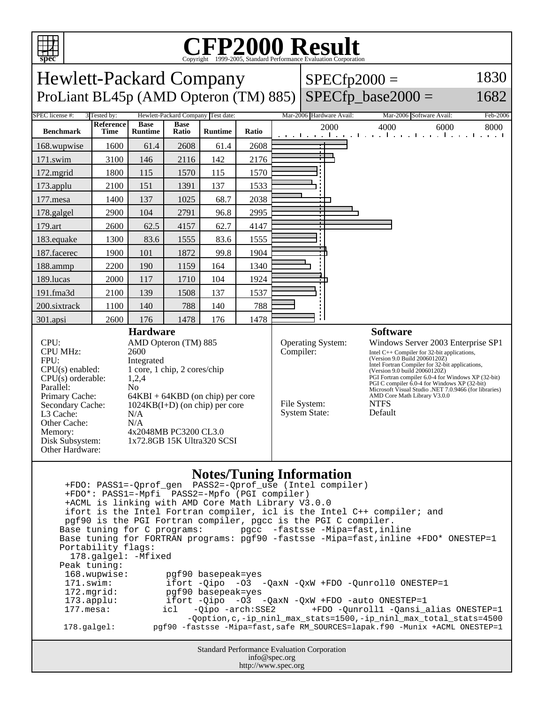

## C<sub>opyright</sub> ©1999-2005, Standard Performance Evaluation Corporation

| spec<br>Copyright ©1999-2005, Standard Performance Evaluation Corporation                                                                                                                                                                                                                                                                                                                                                                                                                                                                                                                                                                                                                                                                                                                                                                                                                                                                                                            |                                                             |                                                                                                                                                                                                          |                      |                                    |       |                                                   |                   |                                                                                                                                                                                                                                                                                                                                                                                                                                 |                                                                  |          |
|--------------------------------------------------------------------------------------------------------------------------------------------------------------------------------------------------------------------------------------------------------------------------------------------------------------------------------------------------------------------------------------------------------------------------------------------------------------------------------------------------------------------------------------------------------------------------------------------------------------------------------------------------------------------------------------------------------------------------------------------------------------------------------------------------------------------------------------------------------------------------------------------------------------------------------------------------------------------------------------|-------------------------------------------------------------|----------------------------------------------------------------------------------------------------------------------------------------------------------------------------------------------------------|----------------------|------------------------------------|-------|---------------------------------------------------|-------------------|---------------------------------------------------------------------------------------------------------------------------------------------------------------------------------------------------------------------------------------------------------------------------------------------------------------------------------------------------------------------------------------------------------------------------------|------------------------------------------------------------------|----------|
| 1830<br><b>Hewlett-Packard Company</b><br>$SPECfp2000 =$                                                                                                                                                                                                                                                                                                                                                                                                                                                                                                                                                                                                                                                                                                                                                                                                                                                                                                                             |                                                             |                                                                                                                                                                                                          |                      |                                    |       |                                                   |                   |                                                                                                                                                                                                                                                                                                                                                                                                                                 |                                                                  |          |
| $SPECfp\_base2000 =$<br>ProLiant BL45p (AMD Opteron (TM) 885)<br>1682                                                                                                                                                                                                                                                                                                                                                                                                                                                                                                                                                                                                                                                                                                                                                                                                                                                                                                                |                                                             |                                                                                                                                                                                                          |                      |                                    |       |                                                   |                   |                                                                                                                                                                                                                                                                                                                                                                                                                                 |                                                                  |          |
| SPEC license #:                                                                                                                                                                                                                                                                                                                                                                                                                                                                                                                                                                                                                                                                                                                                                                                                                                                                                                                                                                      | 3 Tested by:                                                |                                                                                                                                                                                                          |                      | Hewlett-Packard Company Test date: |       |                                                   |                   | Mar-2006 Hardware Avail:                                                                                                                                                                                                                                                                                                                                                                                                        | Mar-2006 Software Avail:                                         | Feb-2006 |
| <b>Benchmark</b>                                                                                                                                                                                                                                                                                                                                                                                                                                                                                                                                                                                                                                                                                                                                                                                                                                                                                                                                                                     | Reference<br>Time                                           | <b>Base</b><br><b>Runtime</b>                                                                                                                                                                            | <b>Base</b><br>Ratio | <b>Runtime</b>                     | Ratio |                                                   |                   | 2000                                                                                                                                                                                                                                                                                                                                                                                                                            | 4000<br>6000<br>المتوجا وتوجا وتوجا وتوجا وتوجا وتوجا وتوجا وتوج | 8000     |
| 168.wupwise                                                                                                                                                                                                                                                                                                                                                                                                                                                                                                                                                                                                                                                                                                                                                                                                                                                                                                                                                                          | 1600                                                        | 61.4                                                                                                                                                                                                     | 2608                 | 61.4                               | 2608  |                                                   |                   |                                                                                                                                                                                                                                                                                                                                                                                                                                 |                                                                  |          |
| $171$ .swim                                                                                                                                                                                                                                                                                                                                                                                                                                                                                                                                                                                                                                                                                                                                                                                                                                                                                                                                                                          | 3100                                                        | 146                                                                                                                                                                                                      | 2116                 | 142                                | 2176  |                                                   |                   |                                                                                                                                                                                                                                                                                                                                                                                                                                 |                                                                  |          |
| 172.mgrid                                                                                                                                                                                                                                                                                                                                                                                                                                                                                                                                                                                                                                                                                                                                                                                                                                                                                                                                                                            | 1800                                                        | 115                                                                                                                                                                                                      | 1570                 | 115                                | 1570  |                                                   |                   |                                                                                                                                                                                                                                                                                                                                                                                                                                 |                                                                  |          |
| 173.applu                                                                                                                                                                                                                                                                                                                                                                                                                                                                                                                                                                                                                                                                                                                                                                                                                                                                                                                                                                            | 2100                                                        | 151                                                                                                                                                                                                      | 1391                 | 137                                | 1533  |                                                   |                   |                                                                                                                                                                                                                                                                                                                                                                                                                                 |                                                                  |          |
| 177.mesa                                                                                                                                                                                                                                                                                                                                                                                                                                                                                                                                                                                                                                                                                                                                                                                                                                                                                                                                                                             | 1400                                                        | 137                                                                                                                                                                                                      | 1025                 | 68.7                               | 2038  |                                                   |                   |                                                                                                                                                                                                                                                                                                                                                                                                                                 |                                                                  |          |
| 178.galgel                                                                                                                                                                                                                                                                                                                                                                                                                                                                                                                                                                                                                                                                                                                                                                                                                                                                                                                                                                           | 2900                                                        | 104                                                                                                                                                                                                      | 2791                 | 96.8                               | 2995  |                                                   |                   |                                                                                                                                                                                                                                                                                                                                                                                                                                 |                                                                  |          |
| 179.art                                                                                                                                                                                                                                                                                                                                                                                                                                                                                                                                                                                                                                                                                                                                                                                                                                                                                                                                                                              | 2600                                                        | 62.5                                                                                                                                                                                                     | 4157                 | 62.7                               | 4147  |                                                   |                   |                                                                                                                                                                                                                                                                                                                                                                                                                                 |                                                                  |          |
| 183.equake                                                                                                                                                                                                                                                                                                                                                                                                                                                                                                                                                                                                                                                                                                                                                                                                                                                                                                                                                                           | 1300                                                        | 83.6                                                                                                                                                                                                     | 1555                 | 83.6                               | 1555  |                                                   |                   |                                                                                                                                                                                                                                                                                                                                                                                                                                 |                                                                  |          |
| 187.facerec                                                                                                                                                                                                                                                                                                                                                                                                                                                                                                                                                                                                                                                                                                                                                                                                                                                                                                                                                                          | 1900                                                        | 101                                                                                                                                                                                                      | 1872                 | 99.8                               | 1904  |                                                   |                   |                                                                                                                                                                                                                                                                                                                                                                                                                                 |                                                                  |          |
| 188.ammp                                                                                                                                                                                                                                                                                                                                                                                                                                                                                                                                                                                                                                                                                                                                                                                                                                                                                                                                                                             | 2200                                                        | 190                                                                                                                                                                                                      | 1159                 | 164                                | 1340  |                                                   |                   |                                                                                                                                                                                                                                                                                                                                                                                                                                 |                                                                  |          |
| 189.lucas                                                                                                                                                                                                                                                                                                                                                                                                                                                                                                                                                                                                                                                                                                                                                                                                                                                                                                                                                                            | 2000                                                        | 117                                                                                                                                                                                                      | 1710                 | 104                                | 1924  |                                                   |                   |                                                                                                                                                                                                                                                                                                                                                                                                                                 |                                                                  |          |
| 191.fma3d                                                                                                                                                                                                                                                                                                                                                                                                                                                                                                                                                                                                                                                                                                                                                                                                                                                                                                                                                                            | 2100                                                        | 139                                                                                                                                                                                                      | 1508                 | 137                                | 1537  |                                                   |                   |                                                                                                                                                                                                                                                                                                                                                                                                                                 |                                                                  |          |
| 200.sixtrack                                                                                                                                                                                                                                                                                                                                                                                                                                                                                                                                                                                                                                                                                                                                                                                                                                                                                                                                                                         | 1100                                                        | 140                                                                                                                                                                                                      | 788                  | 140                                | 788   |                                                   |                   |                                                                                                                                                                                                                                                                                                                                                                                                                                 |                                                                  |          |
| 301.apsi                                                                                                                                                                                                                                                                                                                                                                                                                                                                                                                                                                                                                                                                                                                                                                                                                                                                                                                                                                             | 2600                                                        | 176                                                                                                                                                                                                      | 1478                 | 176                                | 1478  |                                                   |                   |                                                                                                                                                                                                                                                                                                                                                                                                                                 |                                                                  |          |
| CPU:<br><b>CPU MHz:</b><br>FPU:<br>$CPU(s)$ enabled:<br>$CPU(s)$ orderable:<br>Parallel:<br>Primary Cache:<br>Secondary Cache:<br>L3 Cache:<br>Other Cache:<br>Memory:<br>Disk Subsystem:<br>Other Hardware:                                                                                                                                                                                                                                                                                                                                                                                                                                                                                                                                                                                                                                                                                                                                                                         | 2600<br>Integrated<br>1,2,4<br>N <sub>o</sub><br>N/A<br>N/A | <b>Hardware</b><br>AMD Opteron (TM) 885<br>1 core, 1 chip, 2 cores/chip<br>$64KBI + 64KBD$ (on chip) per core<br>$1024KB(I+D)$ (on chip) per core<br>4x2048MB PC3200 CL3.0<br>1x72.8GB 15K Ultra320 SCSI |                      |                                    |       | Compiler:<br>File System:<br><b>System State:</b> | Operating System: | Windows Server 2003 Enterprise SP1<br>Intel C++ Compiler for 32-bit applications,<br>(Version 9.0 Build 20060120Z)<br>Intel Fortran Compiler for 32-bit applications,<br>(Version 9.0 build 20060120Z)<br>PGI Fortran compiler 6.0-4 for Windows XP (32-bit)<br>PGI C compiler 6.0-4 for Windows XP (32-bit)<br>Microsoft Visual Studio .NET 7.0.9466 (for libraries)<br>AMD Core Math Library V3.0.0<br><b>NTFS</b><br>Default |                                                                  |          |
| <b>Notes/Tuning Information</b><br>+FDO*: PASS1=-Mpfi PASS2=-Mpfo (PGI compiler)<br>+ACML is linking with AMD Core Math Library V3.0.0<br>ifort is the Intel Fortran compiler, icl is the Intel C++ compiler; and<br>pgf90 is the PGI Fortran compiler, pgcc is the PGI C compiler.<br>pgcc -fastsse -Mipa=fast,inline<br>Base tuning for C programs:<br>Base tuning for FORTRAN programs: pgf90 -fastsse -Mipa=fast, inline +FDO* ONESTEP=1<br>Portability flags:<br>178.galgel: - Mfixed<br>Peak tuning:<br>168.wupwise:<br>pgf90 basepeak=yes<br>171.swim:<br>ifort $-Qipo -O3 -QaxN -QxW + FDO -Qunroll0 ONE STEP=1$<br>pgf90 basepeak=yes<br>172.mgrid:<br>ifort -Qipo -03 -QaxN -QxW +FDO -auto ONESTEP=1<br>173.applu:<br>$177.$ mesa:<br>+FDO -Qunroll1 -Qansi_alias ONESTEP=1<br>icl<br>-Qipo -arch:SSE2<br>-Qoption, c,-ip_ninl_max_stats=1500,-ip_ninl_max_total_stats=4500<br>178.galgel:<br>pgf90 -fastsse -Mipa=fast, safe RM_SOURCES=lapak.f90 -Munix +ACML ONESTEP=1 |                                                             |                                                                                                                                                                                                          |                      |                                    |       |                                                   |                   |                                                                                                                                                                                                                                                                                                                                                                                                                                 |                                                                  |          |

Standard Performance Evaluation Corporation info@spec.org http://www.spec.org